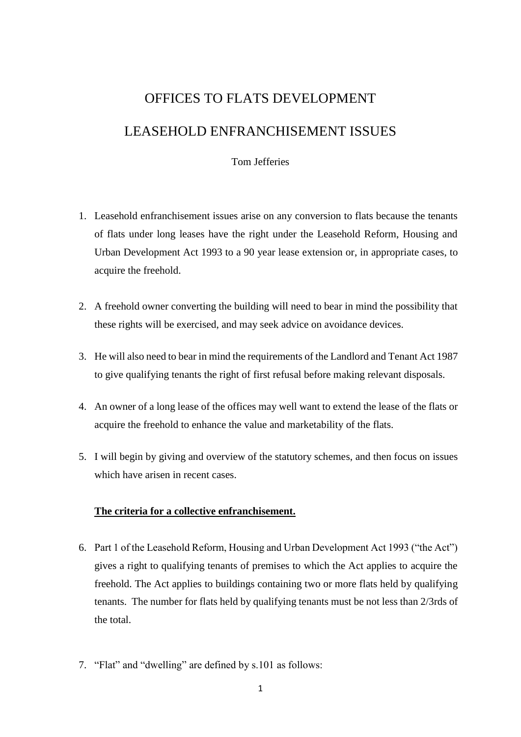# OFFICES TO FLATS DEVELOPMENT

LEASEHOLD ENFRANCHISEMENT ISSUES

## Tom Jefferies

- 1. Leasehold enfranchisement issues arise on any conversion to flats because the tenants of flats under long leases have the right under the Leasehold Reform, Housing and Urban Development Act 1993 to a 90 year lease extension or, in appropriate cases, to acquire the freehold.
- 2. A freehold owner converting the building will need to bear in mind the possibility that these rights will be exercised, and may seek advice on avoidance devices.
- 3. He will also need to bear in mind the requirements of the Landlord and Tenant Act 1987 to give qualifying tenants the right of first refusal before making relevant disposals.
- 4. An owner of a long lease of the offices may well want to extend the lease of the flats or acquire the freehold to enhance the value and marketability of the flats.
- 5. I will begin by giving and overview of the statutory schemes, and then focus on issues which have arisen in recent cases.

## **The criteria for a collective enfranchisement.**

- 6. Part 1 of the Leasehold Reform, Housing and Urban Development Act 1993 ("the Act") gives a right to qualifying tenants of premises to which the Act applies to acquire the freehold. The Act applies to buildings containing two or more flats held by qualifying tenants. The number for flats held by qualifying tenants must be not less than 2/3rds of the total.
- 7. "Flat" and "dwelling" are defined by s.101 as follows: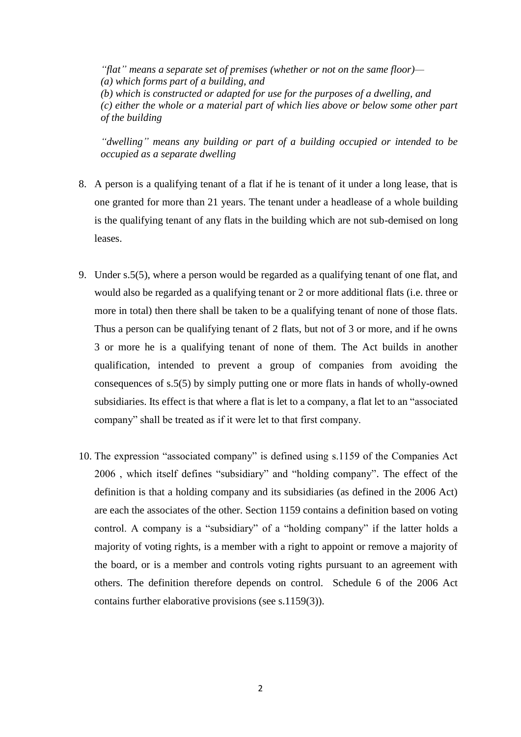*"flat" means a separate set of premises (whether or not on the same floor)— (a) which forms part of a building, and (b) which is constructed or adapted for use for the purposes of a dwelling, and (c) either the whole or a material part of which lies above or below some other part of the building*

*"dwelling" means any building or part of a building occupied or intended to be occupied as a separate dwelling*

- 8. A person is a qualifying tenant of a flat if he is tenant of it under a long lease, that is one granted for more than 21 years. The tenant under a headlease of a whole building is the qualifying tenant of any flats in the building which are not sub-demised on long leases.
- 9. Under s.5(5), where a person would be regarded as a qualifying tenant of one flat, and would also be regarded as a qualifying tenant or 2 or more additional flats (i.e. three or more in total) then there shall be taken to be a qualifying tenant of none of those flats. Thus a person can be qualifying tenant of 2 flats, but not of 3 or more, and if he owns 3 or more he is a qualifying tenant of none of them. The Act builds in another qualification, intended to prevent a group of companies from avoiding the consequences of s.5(5) by simply putting one or more flats in hands of wholly-owned subsidiaries. Its effect is that where a flat is let to a company, a flat let to an "associated company" shall be treated as if it were let to that first company.
- 10. The expression "associated company" is defined using s.1159 of the Companies Act 2006 , which itself defines "subsidiary" and "holding company". The effect of the definition is that a holding company and its subsidiaries (as defined in the 2006 Act) are each the associates of the other. Section 1159 contains a definition based on voting control. A company is a "subsidiary" of a "holding company" if the latter holds a majority of voting rights, is a member with a right to appoint or remove a majority of the board, or is a member and controls voting rights pursuant to an agreement with others. The definition therefore depends on control. Schedule 6 of the 2006 Act contains further elaborative provisions (see s.1159(3)).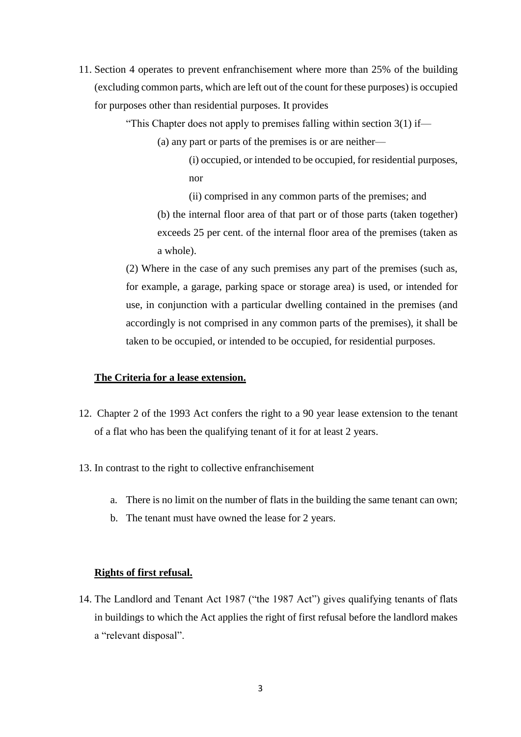11. Section 4 operates to prevent enfranchisement where more than 25% of the building (excluding common parts, which are left out of the count for these purposes) is occupied for purposes other than residential purposes. It provides

"This Chapter does not apply to premises falling within [section 3\(1\)](http://login.westlaw.co.uk/maf/wluk/app/document?src=doc&linktype=ref&context=28&crumb-action=replace&docguid=I3AF413A0E44D11DA8D70A0E70A78ED65) if—

- (a) any part or parts of the premises is or are neither—
	- (i) occupied, or intended to be occupied, for residential purposes, nor
	- (ii) comprised in any common parts of the premises; and

(b) the internal floor area of that part or of those parts (taken together) exceeds 25 per cent. of the internal floor area of the premises (taken as a whole).

(2) Where in the case of any such premises any part of the premises (such as, for example, a garage, parking space or storage area) is used, or intended for use, in conjunction with a particular dwelling contained in the premises (and accordingly is not comprised in any common parts of the premises), it shall be taken to be occupied, or intended to be occupied, for residential purposes.

## **The Criteria for a lease extension.**

- 12. Chapter 2 of the 1993 Act confers the right to a 90 year lease extension to the tenant of a flat who has been the qualifying tenant of it for at least 2 years.
- 13. In contrast to the right to collective enfranchisement
	- a. There is no limit on the number of flats in the building the same tenant can own;
	- b. The tenant must have owned the lease for 2 years.

## **Rights of first refusal.**

14. The Landlord and Tenant Act 1987 ("the 1987 Act") gives qualifying tenants of flats in buildings to which the Act applies the right of first refusal before the landlord makes a "relevant disposal".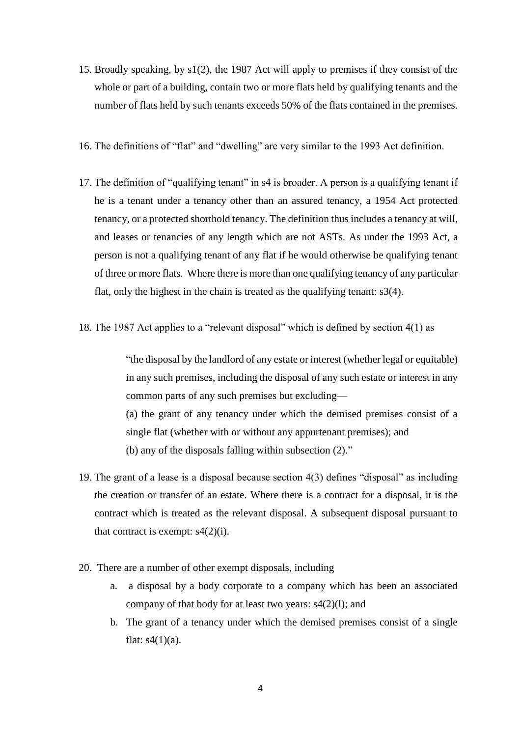- 15. Broadly speaking, by s1(2), the 1987 Act will apply to premises if they consist of the whole or part of a building, contain two or more flats held by qualifying tenants and the number of flats held by such tenants exceeds 50% of the flats contained in the premises.
- 16. The definitions of "flat" and "dwelling" are very similar to the 1993 Act definition.
- 17. The definition of "qualifying tenant" in s4 is broader. A person is a qualifying tenant if he is a tenant under a tenancy other than an assured tenancy, a 1954 Act protected tenancy, or a protected shorthold tenancy. The definition thus includes a tenancy at will, and leases or tenancies of any length which are not ASTs. As under the 1993 Act, a person is not a qualifying tenant of any flat if he would otherwise be qualifying tenant of three or more flats. Where there is more than one qualifying tenancy of any particular flat, only the highest in the chain is treated as the qualifying tenant: s3(4).
- 18. The 1987 Act applies to a "relevant disposal" which is defined by section 4(1) as

"the disposal by the landlord of any estate or interest (whether legal or equitable) in any such premises, including the disposal of any such estate or interest in any common parts of any such premises but excluding— (a) the grant of any tenancy under which the demised premises consist of a single flat (whether with or without any appurtenant premises); and (b) any of the disposals falling within subsection (2)."

- 19. The grant of a lease is a disposal because section 4(3) defines "disposal" as including the creation or transfer of an estate. Where there is a contract for a disposal, it is the contract which is treated as the relevant disposal. A subsequent disposal pursuant to that contract is exempt:  $s4(2)(i)$ .
- 20. There are a number of other exempt disposals, including
	- a. a disposal by a body corporate to a company which has been an associated company of that body for at least two years: s4(2)(l); and
	- b. The grant of a tenancy under which the demised premises consist of a single flat:  $s4(1)(a)$ .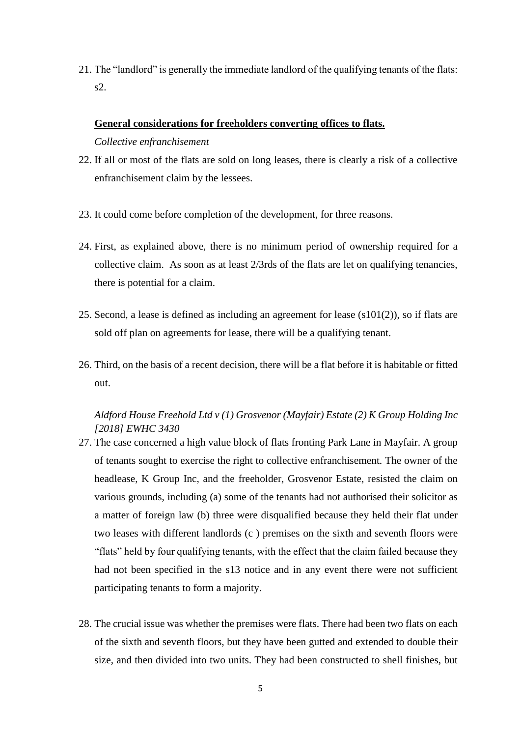21. The "landlord" is generally the immediate landlord of the qualifying tenants of the flats: s2.

## **General considerations for freeholders converting offices to flats.**

*Collective enfranchisement* 

- 22. If all or most of the flats are sold on long leases, there is clearly a risk of a collective enfranchisement claim by the lessees.
- 23. It could come before completion of the development, for three reasons.
- 24. First, as explained above, there is no minimum period of ownership required for a collective claim. As soon as at least 2/3rds of the flats are let on qualifying tenancies, there is potential for a claim.
- 25. Second, a lease is defined as including an agreement for lease (s101(2)), so if flats are sold off plan on agreements for lease, there will be a qualifying tenant.
- 26. Third, on the basis of a recent decision, there will be a flat before it is habitable or fitted out.

# *Aldford House Freehold Ltd v (1) Grosvenor (Mayfair) Estate (2) K Group Holding Inc [2018] EWHC 3430*

- 27. The case concerned a high value block of flats fronting Park Lane in Mayfair. A group of tenants sought to exercise the right to collective enfranchisement. The owner of the headlease, K Group Inc, and the freeholder, Grosvenor Estate, resisted the claim on various grounds, including (a) some of the tenants had not authorised their solicitor as a matter of foreign law (b) three were disqualified because they held their flat under two leases with different landlords (c ) premises on the sixth and seventh floors were "flats" held by four qualifying tenants, with the effect that the claim failed because they had not been specified in the s13 notice and in any event there were not sufficient participating tenants to form a majority.
- 28. The crucial issue was whether the premises were flats. There had been two flats on each of the sixth and seventh floors, but they have been gutted and extended to double their size, and then divided into two units. They had been constructed to shell finishes, but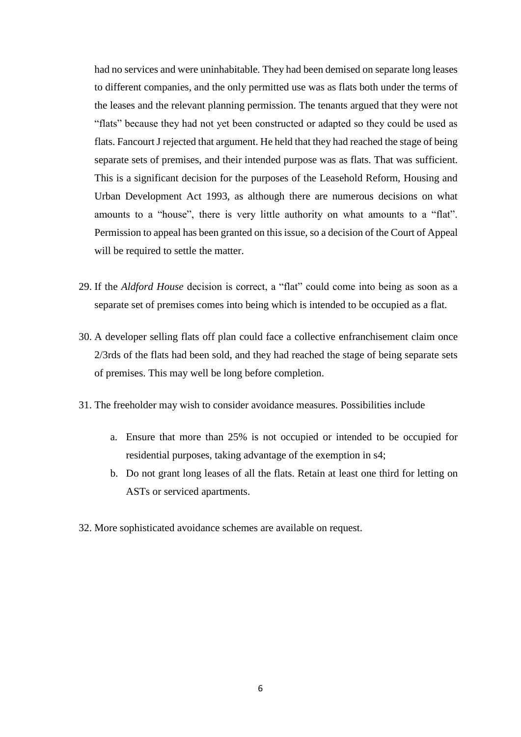had no services and were uninhabitable. They had been demised on separate long leases to different companies, and the only permitted use was as flats both under the terms of the leases and the relevant planning permission. The tenants argued that they were not "flats" because they had not yet been constructed or adapted so they could be used as flats. Fancourt J rejected that argument. He held that they had reached the stage of being separate sets of premises, and their intended purpose was as flats. That was sufficient. This is a significant decision for the purposes of the Leasehold Reform, Housing and Urban Development Act 1993, as although there are numerous decisions on what amounts to a "house", there is very little authority on what amounts to a "flat". Permission to appeal has been granted on this issue, so a decision of the Court of Appeal will be required to settle the matter.

- 29. If the *Aldford House* decision is correct, a "flat" could come into being as soon as a separate set of premises comes into being which is intended to be occupied as a flat.
- 30. A developer selling flats off plan could face a collective enfranchisement claim once 2/3rds of the flats had been sold, and they had reached the stage of being separate sets of premises. This may well be long before completion.
- 31. The freeholder may wish to consider avoidance measures. Possibilities include
	- a. Ensure that more than 25% is not occupied or intended to be occupied for residential purposes, taking advantage of the exemption in s4;
	- b. Do not grant long leases of all the flats. Retain at least one third for letting on ASTs or serviced apartments.
- 32. More sophisticated avoidance schemes are available on request.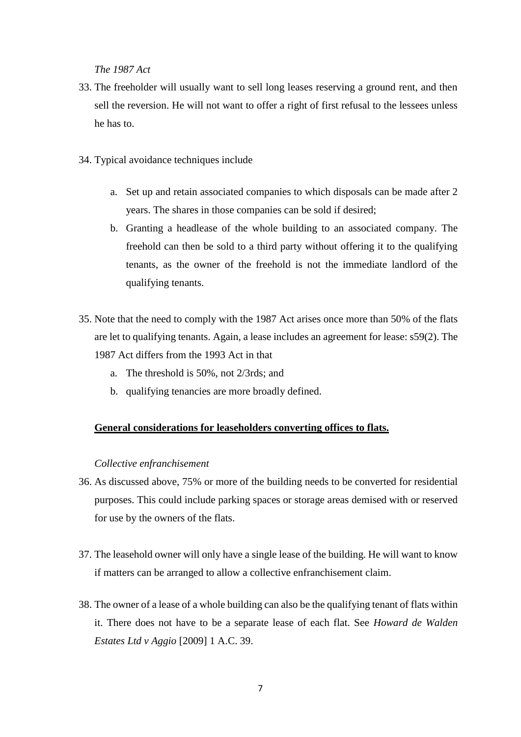*The 1987 Act* 

- 33. The freeholder will usually want to sell long leases reserving a ground rent, and then sell the reversion. He will not want to offer a right of first refusal to the lessees unless he has to.
- 34. Typical avoidance techniques include
	- a. Set up and retain associated companies to which disposals can be made after 2 years. The shares in those companies can be sold if desired;
	- b. Granting a headlease of the whole building to an associated company. The freehold can then be sold to a third party without offering it to the qualifying tenants, as the owner of the freehold is not the immediate landlord of the qualifying tenants.
- 35. Note that the need to comply with the 1987 Act arises once more than 50% of the flats are let to qualifying tenants. Again, a lease includes an agreement for lease: s59(2). The 1987 Act differs from the 1993 Act in that
	- a. The threshold is 50%, not 2/3rds; and
	- b. qualifying tenancies are more broadly defined.

## **General considerations for leaseholders converting offices to flats.**

#### *Collective enfranchisement*

- 36. As discussed above, 75% or more of the building needs to be converted for residential purposes. This could include parking spaces or storage areas demised with or reserved for use by the owners of the flats.
- 37. The leasehold owner will only have a single lease of the building. He will want to know if matters can be arranged to allow a collective enfranchisement claim.
- 38. The owner of a lease of a whole building can also be the qualifying tenant of flats within it. There does not have to be a separate lease of each flat. See *Howard de Walden Estates Ltd v Aggio* [2009] 1 A.C. 39.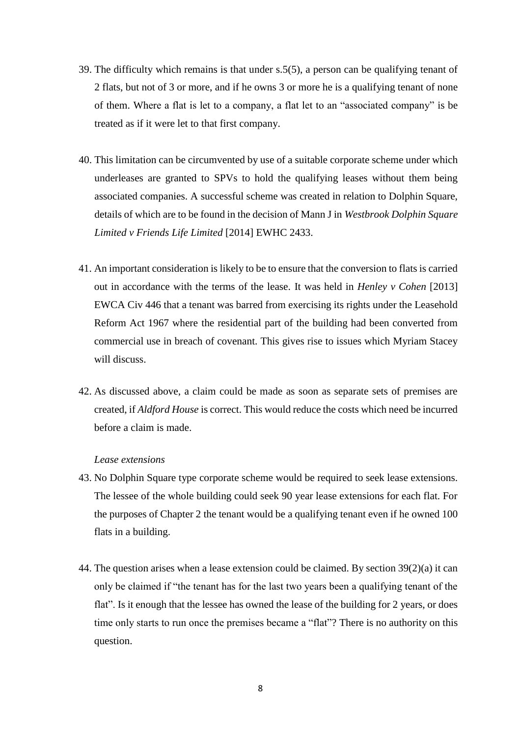- 39. The difficulty which remains is that under s.5(5), a person can be qualifying tenant of 2 flats, but not of 3 or more, and if he owns 3 or more he is a qualifying tenant of none of them. Where a flat is let to a company, a flat let to an "associated company" is be treated as if it were let to that first company.
- 40. This limitation can be circumvented by use of a suitable corporate scheme under which underleases are granted to SPVs to hold the qualifying leases without them being associated companies. A successful scheme was created in relation to Dolphin Square, details of which are to be found in the decision of Mann J in *Westbrook Dolphin Square Limited v Friends Life Limited* [2014] EWHC 2433.
- 41. An important consideration is likely to be to ensure that the conversion to flats is carried out in accordance with the terms of the lease. It was held in *Henley v Cohen* [2013] EWCA Civ 446 that a tenant was barred from exercising its rights under the Leasehold Reform Act 1967 where the residential part of the building had been converted from commercial use in breach of covenant. This gives rise to issues which Myriam Stacey will discuss.
- 42. As discussed above, a claim could be made as soon as separate sets of premises are created, if *Aldford House* is correct. This would reduce the costs which need be incurred before a claim is made.

## *Lease extensions*

- 43. No Dolphin Square type corporate scheme would be required to seek lease extensions. The lessee of the whole building could seek 90 year lease extensions for each flat. For the purposes of Chapter 2 the tenant would be a qualifying tenant even if he owned 100 flats in a building.
- 44. The question arises when a lease extension could be claimed. By section 39(2)(a) it can only be claimed if "the tenant has for the last two years been a qualifying tenant of the flat". Is it enough that the lessee has owned the lease of the building for 2 years, or does time only starts to run once the premises became a "flat"? There is no authority on this question.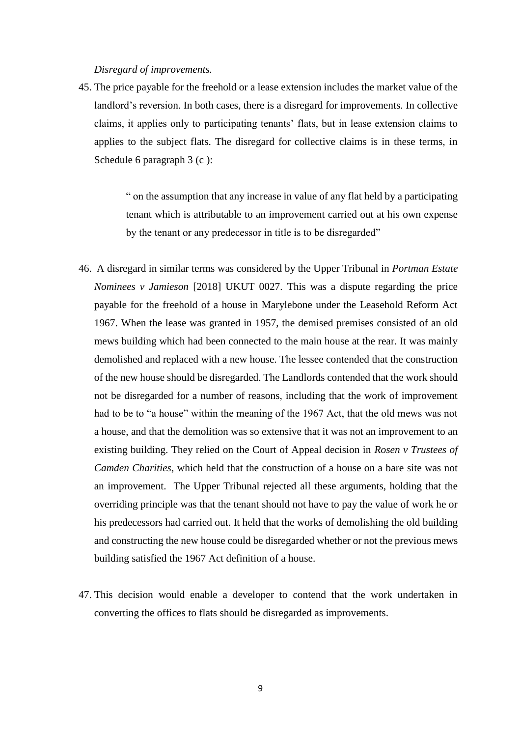## *Disregard of improvements.*

45. The price payable for the freehold or a lease extension includes the market value of the landlord's reversion. In both cases, there is a disregard for improvements. In collective claims, it applies only to participating tenants' flats, but in lease extension claims to applies to the subject flats. The disregard for collective claims is in these terms, in Schedule 6 paragraph 3 (c):

> " on the assumption that any increase in value of any flat held by a participating tenant which is attributable to an improvement carried out at his own expense by the tenant or any predecessor in title is to be disregarded"

- 46. A disregard in similar terms was considered by the Upper Tribunal in *Portman Estate Nominees v Jamieson* [2018] UKUT 0027. This was a dispute regarding the price payable for the freehold of a house in Marylebone under the Leasehold Reform Act 1967. When the lease was granted in 1957, the demised premises consisted of an old mews building which had been connected to the main house at the rear. It was mainly demolished and replaced with a new house. The lessee contended that the construction of the new house should be disregarded. The Landlords contended that the work should not be disregarded for a number of reasons, including that the work of improvement had to be to "a house" within the meaning of the 1967 Act, that the old mews was not a house, and that the demolition was so extensive that it was not an improvement to an existing building. They relied on the Court of Appeal decision in *Rosen v Trustees of Camden Charities*, which held that the construction of a house on a bare site was not an improvement. The Upper Tribunal rejected all these arguments, holding that the overriding principle was that the tenant should not have to pay the value of work he or his predecessors had carried out. It held that the works of demolishing the old building and constructing the new house could be disregarded whether or not the previous mews building satisfied the 1967 Act definition of a house.
- 47. This decision would enable a developer to contend that the work undertaken in converting the offices to flats should be disregarded as improvements.